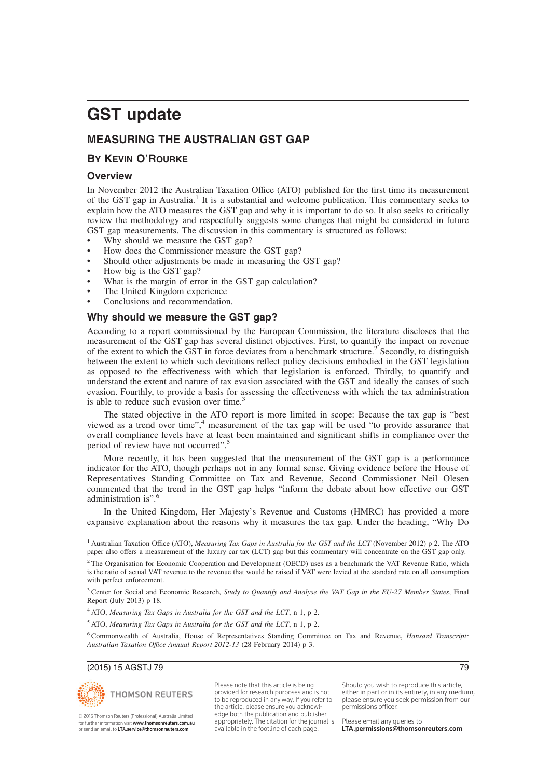## **MEASURING THE AUSTRALIAN GST GAP**

## **BY KEVIN O'ROURKE**

## **Overview**

In November 2012 the Australian Taxation Office (ATO) published for the first time its measurement of the GST gap in Australia.<sup>1</sup> It is a substantial and welcome publication. This commentary seeks to explain how the ATO measures the GST gap and why it is important to do so. It also seeks to critically review the methodology and respectfully suggests some changes that might be considered in future GST gap measurements. The discussion in this commentary is structured as follows:

- Why should we measure the GST gap?
- How does the Commissioner measure the GST gap?
- Should other adjustments be made in measuring the GST gap?
- How big is the GST gap?
- What is the margin of error in the GST gap calculation?
- The United Kingdom experience
- Conclusions and recommendation.

## **Why should we measure the GST gap?**

According to a report commissioned by the European Commission, the literature discloses that the measurement of the GST gap has several distinct objectives. First, to quantify the impact on revenue of the extent to which the  $\overline{GST}$  in force deviates from a benchmark structure.<sup>2</sup> Secondly, to distinguish between the extent to which such deviations reflect policy decisions embodied in the GST legislation as opposed to the effectiveness with which that legislation is enforced. Thirdly, to quantify and understand the extent and nature of tax evasion associated with the GST and ideally the causes of such evasion. Fourthly, to provide a basis for assessing the effectiveness with which the tax administration is able to reduce such evasion over time.<sup>3</sup>

The stated objective in the ATO report is more limited in scope: Because the tax gap is "best viewed as a trend over time",<sup>4</sup> measurement of the tax gap will be used "to provide assurance that overall compliance levels have at least been maintained and significant shifts in compliance over the period of review have not occurred".<sup>5</sup>

More recently, it has been suggested that the measurement of the GST gap is a performance indicator for the ATO, though perhaps not in any formal sense. Giving evidence before the House of Representatives Standing Committee on Tax and Revenue, Second Commissioner Neil Olesen commented that the trend in the GST gap helps "inform the debate about how effective our GST administration is".<sup>6</sup>

In the United Kingdom, Her Majesty's Revenue and Customs (HMRC) has provided a more expansive explanation about the reasons why it measures the tax gap. Under the heading, "Why Do

<sup>1</sup> Australian Taxation Office (ATO), *Measuring Tax Gaps in Australia for the GST and the LCT* (November 2012) p 2. The ATO paper also offers a measurement of the luxury car tax (LCT) gap but this commentary will concentrate on the GST gap only.

<sup>3</sup> Center for Social and Economic Research, *Study to Quantify and Analyse the VAT Gap in the EU-27 Member States*, Final Report (July 2013) p 18.

<sup>4</sup> ATO, *Measuring Tax Gaps in Australia for the GST and the LCT*, n 1, p 2.

<sup>5</sup> ATO, *Measuring Tax Gaps in Australia for the GST and the LCT*, n 1, p 2.

<sup>6</sup> Commonwealth of Australia, House of Representatives Standing Committee on Tax and Revenue, *Hansard Transcript: Australian Taxation Offıce Annual Report 2012-13* (28 February 2014) p 3.

#### (2015) 15 AGSTJ 79 79



© 2015 Thomson Reuters (Professional) Australia Limited for further information visit www.thomsonreuters.com.au or send an email to LTA.service@thomsonreuters.com

Please note that this article is being provided for research purposes and is not to be reproduced in any way. If you refer to the article, please ensure you acknowledge both the publication and publisher appropriately. The citation for the journal is available in the footline of each page.

Should you wish to reproduce this article, either in part or in its entirety, in any medium, please ensure you seek permission from our permissions officer.

<sup>&</sup>lt;sup>2</sup> The Organisation for Economic Cooperation and Development (OECD) uses as a benchmark the VAT Revenue Ratio, which is the ratio of actual VAT revenue to the revenue that would be raised if VAT were levied at the standard rate on all consumption with perfect enforcement.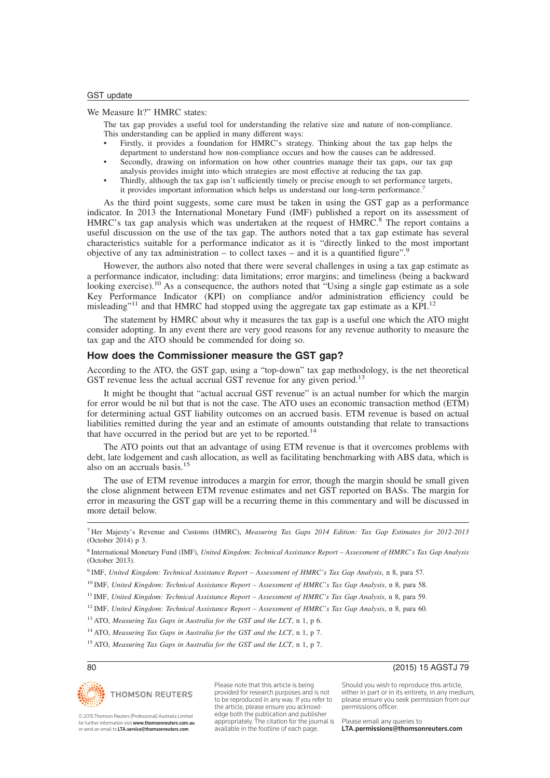#### We Measure It?" HMRC states:

The tax gap provides a useful tool for understanding the relative size and nature of non-compliance. This understanding can be applied in many different ways:

- Firstly, it provides a foundation for HMRC's strategy. Thinking about the tax gap helps the department to understand how non-compliance occurs and how the causes can be addressed.
- Secondly, drawing on information on how other countries manage their tax gaps, our tax gap analysis provides insight into which strategies are most effective at reducing the tax gap.
- Thirdly, although the tax gap isn't sufficiently timely or precise enough to set performance targets, it provides important information which helps us understand our long-term performance.<sup>7</sup>

As the third point suggests, some care must be taken in using the GST gap as a performance indicator. In 2013 the International Monetary Fund (IMF) published a report on its assessment of HMRC's tax gap analysis which was undertaken at the request of HMRC.<sup>8</sup> The report contains a useful discussion on the use of the tax gap. The authors noted that a tax gap estimate has several characteristics suitable for a performance indicator as it is "directly linked to the most important objective of any tax administration – to collect taxes – and it is a quantified figure".<sup>9</sup>

However, the authors also noted that there were several challenges in using a tax gap estimate as a performance indicator, including: data limitations; error margins; and timeliness (being a backward looking exercise).<sup>10</sup> As a consequence, the authors noted that "Using a single gap estimate as a sole Key Performance Indicator (KPI) on compliance and/or administration efficiency could be misleading"<sup>11</sup> and that HMRC had stopped using the aggregate tax gap estimate as a KPI.<sup>12</sup>

The statement by HMRC about why it measures the tax gap is a useful one which the ATO might consider adopting. In any event there are very good reasons for any revenue authority to measure the tax gap and the ATO should be commended for doing so.

## **How does the Commissioner measure the GST gap?**

According to the ATO, the GST gap, using a "top-down" tax gap methodology, is the net theoretical GST revenue less the actual accrual GST revenue for any given period.<sup>13</sup>

It might be thought that "actual accrual GST revenue" is an actual number for which the margin for error would be nil but that is not the case. The ATO uses an economic transaction method (ETM) for determining actual GST liability outcomes on an accrued basis. ETM revenue is based on actual liabilities remitted during the year and an estimate of amounts outstanding that relate to transactions that have occurred in the period but are yet to be reported.<sup>14</sup>

The ATO points out that an advantage of using ETM revenue is that it overcomes problems with debt, late lodgement and cash allocation, as well as facilitating benchmarking with ABS data, which is also on an accruals basis.<sup>15</sup>

The use of ETM revenue introduces a margin for error, though the margin should be small given the close alignment between ETM revenue estimates and net GST reported on BASs. The margin for error in measuring the GST gap will be a recurring theme in this commentary and will be discussed in more detail below.

<sup>7</sup> Her Majesty's Revenue and Customs (HMRC), *Measuring Tax Gaps 2014 Edition: Tax Gap Estimates for 2012-2013* (October 2014) p 3.

8 International Monetary Fund (IMF), *United Kingdom: Technical Assistance Report – Assessment of HMRC's Tax Gap Analysis* (October 2013).

<sup>10</sup> IMF, *United Kingdom: Technical Assistance Report – Assessment of HMRC's Tax Gap Analysis*, n 8, para 58.

<sup>11</sup> IMF, *United Kingdom: Technical Assistance Report – Assessment of HMRC's Tax Gap Analysis*, n 8, para 59.

<sup>12</sup> IMF, *United Kingdom: Technical Assistance Report – Assessment of HMRC's Tax Gap Analysis*, n 8, para 60.

<sup>13</sup> ATO, *Measuring Tax Gaps in Australia for the GST and the LCT*, n 1, p 6.

<sup>14</sup> ATO, *Measuring Tax Gaps in Australia for the GST and the LCT*, n 1, p 7.

<sup>15</sup> ATO, *Measuring Tax Gaps in Australia for the GST and the LCT*, n 1, p 7.



Please note that this article is being provided for research purposes and is not to be reproduced in any way. If you refer to the article, please ensure you acknowledge both the publication and publisher appropriately. The citation for the journal is available in the footline of each page.

## 80 (2015) 15 AGSTJ 79

Should you wish to reproduce this article, either in part or in its entirety, in any medium, please ensure you seek permission from our permissions officer.

Please email any queries to LTA.permissions@thomsonreuters.com

© 2015 Thomson Reuters (Professional) Australia Limited for further information visit www.thomsonreuters.com.au or send an email to LTA.service@thomsonreuters.com

<sup>9</sup> IMF, *United Kingdom: Technical Assistance Report – Assessment of HMRC's Tax Gap Analysis*, n 8, para 57.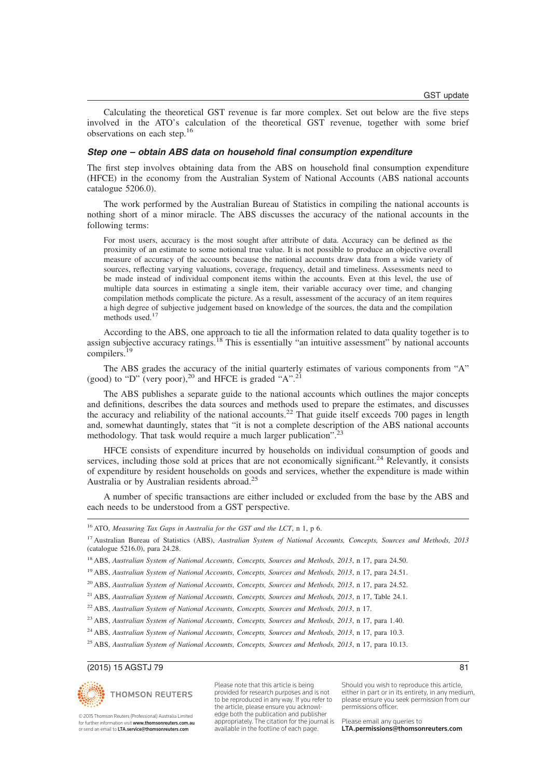Calculating the theoretical GST revenue is far more complex. Set out below are the five steps involved in the ATO's calculation of the theoretical GST revenue, together with some brief observations on each step.<sup>16</sup>

#### **Step one – obtain ABS data on household final consumption expenditure**

The first step involves obtaining data from the ABS on household final consumption expenditure (HFCE) in the economy from the Australian System of National Accounts (ABS national accounts catalogue 5206.0).

The work performed by the Australian Bureau of Statistics in compiling the national accounts is nothing short of a minor miracle. The ABS discusses the accuracy of the national accounts in the following terms:

For most users, accuracy is the most sought after attribute of data. Accuracy can be defined as the proximity of an estimate to some notional true value. It is not possible to produce an objective overall measure of accuracy of the accounts because the national accounts draw data from a wide variety of sources, reflecting varying valuations, coverage, frequency, detail and timeliness. Assessments need to be made instead of individual component items within the accounts. Even at this level, the use of multiple data sources in estimating a single item, their variable accuracy over time, and changing compilation methods complicate the picture. As a result, assessment of the accuracy of an item requires a high degree of subjective judgement based on knowledge of the sources, the data and the compilation methods used.<sup>17</sup>

According to the ABS, one approach to tie all the information related to data quality together is to assign subjective accuracy ratings.<sup>18</sup> This is essentially "an intuitive assessment" by national accounts compilers.<sup>19</sup>

The ABS grades the accuracy of the initial quarterly estimates of various components from "A" (good) to "D" (very poor),<sup>20</sup> and HFCE is graded "A".<sup>21</sup>

The ABS publishes a separate guide to the national accounts which outlines the major concepts and definitions, describes the data sources and methods used to prepare the estimates, and discusses the accuracy and reliability of the national accounts.<sup>22</sup> That guide itself exceeds 700 pages in length and, somewhat dauntingly, states that "it is not a complete description of the ABS national accounts methodology. That task would require a much larger publication".<sup>2</sup>

HFCE consists of expenditure incurred by households on individual consumption of goods and services, including those sold at prices that are not economically significant.<sup>24</sup> Relevantly, it consists of expenditure by resident households on goods and services, whether the expenditure is made within Australia or by Australian residents abroad.<sup>25</sup>

A number of specific transactions are either included or excluded from the base by the ABS and each needs to be understood from a GST perspective.

### (2015) 15 AGSTJ 79 81



© 2015 Thomson Reuters (Professional) Australia Limited for further information visit www.thomsonreuters.com.au or send an email to LTA.service@thomsonreuters.com

provided for research purposes and is not to be reproduced in any way. If you refer to the article, please ensure you acknowledge both the publication and publisher appropriately. The citation for the journal is available in the footline of each page.

Please note that this article is being

Should you wish to reproduce this article, either in part or in its entirety, in any medium, please ensure you seek permission from our permissions officer.

<sup>16</sup> ATO, *Measuring Tax Gaps in Australia for the GST and the LCT*, n 1, p 6.

<sup>17</sup> Australian Bureau of Statistics (ABS), *Australian System of National Accounts, Concepts, Sources and Methods, 2013* (catalogue 5216.0), para 24.28.

<sup>18</sup> ABS, *Australian System of National Accounts, Concepts, Sources and Methods, 2013*, n 17, para 24.50.

<sup>19</sup> ABS, *Australian System of National Accounts, Concepts, Sources and Methods, 2013*, n 17, para 24.51.

<sup>20</sup> ABS, *Australian System of National Accounts, Concepts, Sources and Methods, 2013*, n 17, para 24.52.

<sup>21</sup> ABS, *Australian System of National Accounts, Concepts, Sources and Methods, 2013*, n 17, Table 24.1.

<sup>22</sup> ABS, *Australian System of National Accounts, Concepts, Sources and Methods, 2013*, n 17.

<sup>23</sup> ABS, *Australian System of National Accounts, Concepts, Sources and Methods, 2013*, n 17, para 1.40.

<sup>&</sup>lt;sup>24</sup> ABS, *Australian System of National Accounts, Concepts, Sources and Methods, 2013*, n 17, para 10.3.

<sup>25</sup> ABS, *Australian System of National Accounts, Concepts, Sources and Methods, 2013*, n 17, para 10.13.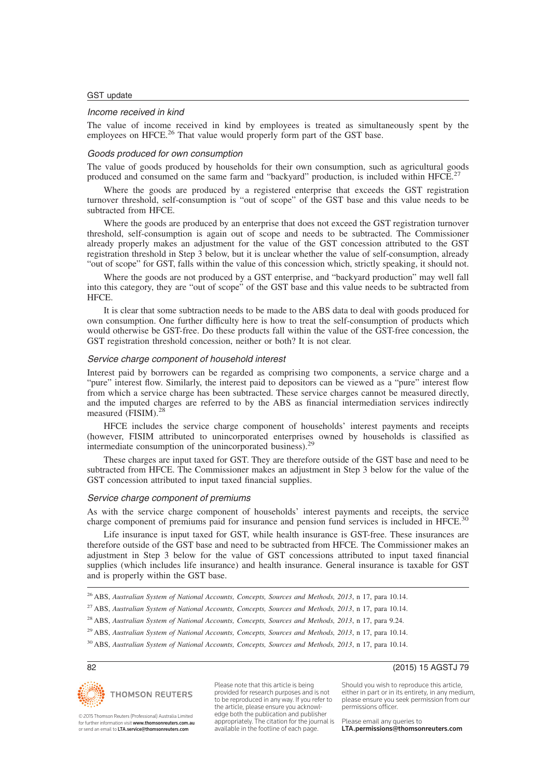### Income received in kind

The value of income received in kind by employees is treated as simultaneously spent by the employees on HFCE.<sup>26</sup> That value would properly form part of the GST base.

## Goods produced for own consumption

The value of goods produced by households for their own consumption, such as agricultural goods produced and consumed on the same farm and "backyard" production, is included within HFCE.<sup>2</sup>

Where the goods are produced by a registered enterprise that exceeds the GST registration turnover threshold, self-consumption is "out of scope" of the GST base and this value needs to be subtracted from HFCE.

Where the goods are produced by an enterprise that does not exceed the GST registration turnover threshold, self-consumption is again out of scope and needs to be subtracted. The Commissioner already properly makes an adjustment for the value of the GST concession attributed to the GST registration threshold in Step 3 below, but it is unclear whether the value of self-consumption, already "out of scope" for GST, falls within the value of this concession which, strictly speaking, it should not.

Where the goods are not produced by a GST enterprise, and "backyard production" may well fall into this category, they are "out of scope" of the GST base and this value needs to be subtracted from HFCE.

It is clear that some subtraction needs to be made to the ABS data to deal with goods produced for own consumption. One further difficulty here is how to treat the self-consumption of products which would otherwise be GST-free. Do these products fall within the value of the GST-free concession, the GST registration threshold concession, neither or both? It is not clear.

### Service charge component of household interest

Interest paid by borrowers can be regarded as comprising two components, a service charge and a "pure" interest flow. Similarly, the interest paid to depositors can be viewed as a "pure" interest flow from which a service charge has been subtracted. These service charges cannot be measured directly, and the imputed charges are referred to by the ABS as financial intermediation services indirectly measured (FISIM).<sup>28</sup>

HFCE includes the service charge component of households' interest payments and receipts (however, FISIM attributed to unincorporated enterprises owned by households is classified as intermediate consumption of the unincorporated business).<sup>2</sup>

These charges are input taxed for GST. They are therefore outside of the GST base and need to be subtracted from HFCE. The Commissioner makes an adjustment in Step 3 below for the value of the GST concession attributed to input taxed financial supplies.

#### Service charge component of premiums

As with the service charge component of households' interest payments and receipts, the service charge component of premiums paid for insurance and pension fund services is included in HFCE.<sup>30</sup>

Life insurance is input taxed for GST, while health insurance is GST-free. These insurances are therefore outside of the GST base and need to be subtracted from HFCE. The Commissioner makes an adjustment in Step 3 below for the value of GST concessions attributed to input taxed financial supplies (which includes life insurance) and health insurance. General insurance is taxable for GST and is properly within the GST base.

<sup>26</sup> ABS, *Australian System of National Accounts, Concepts, Sources and Methods, 2013*, n 17, para 10.14.

<sup>27</sup> ABS, *Australian System of National Accounts, Concepts, Sources and Methods, 2013*, n 17, para 10.14.

<sup>28</sup> ABS, *Australian System of National Accounts, Concepts, Sources and Methods, 2013*, n 17, para 9.24.

<sup>29</sup> ABS, *Australian System of National Accounts, Concepts, Sources and Methods, 2013*, n 17, para 10.14.

<sup>30</sup> ABS, *Australian System of National Accounts, Concepts, Sources and Methods, 2013*, n 17, para 10.14.



© 2015 Thomson Reuters (Professional) Australia Limited for further information visit www.thomsonreuters.com.au or send an email to LTA.service@thomsonreuters.com

Please note that this article is being provided for research purposes and is not to be reproduced in any way. If you refer to the article, please ensure you acknowledge both the publication and publisher appropriately. The citation for the journal is available in the footline of each page.

82 (2015) 15 AGSTJ 79

Should you wish to reproduce this article, either in part or in its entirety, in any medium, please ensure you seek permission from our permissions officer.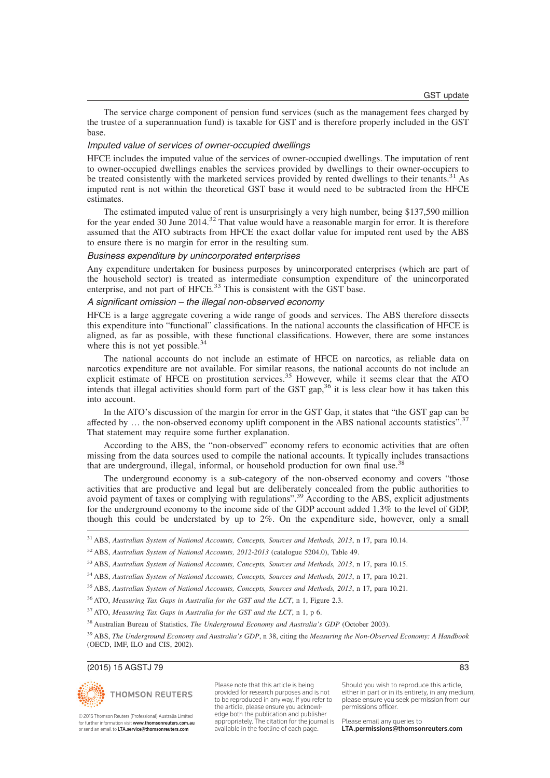The service charge component of pension fund services (such as the management fees charged by the trustee of a superannuation fund) is taxable for GST and is therefore properly included in the GST base.

#### Imputed value of services of owner-occupied dwellings

HFCE includes the imputed value of the services of owner-occupied dwellings. The imputation of rent to owner-occupied dwellings enables the services provided by dwellings to their owner-occupiers to be treated consistently with the marketed services provided by rented dwellings to their tenants.<sup>31</sup> As imputed rent is not within the theoretical GST base it would need to be subtracted from the HFCE estimates.

The estimated imputed value of rent is unsurprisingly a very high number, being \$137,590 million for the year ended 30 June 2014.<sup>32</sup> That value would have a reasonable margin for error. It is therefore assumed that the ATO subtracts from HFCE the exact dollar value for imputed rent used by the ABS to ensure there is no margin for error in the resulting sum.

#### Business expenditure by unincorporated enterprises

Any expenditure undertaken for business purposes by unincorporated enterprises (which are part of the household sector) is treated as intermediate consumption expenditure of the unincorporated enterprise, and not part of HFCE.<sup>33</sup> This is consistent with the GST base.

## A significant omission – the illegal non-observed economy

HFCE is a large aggregate covering a wide range of goods and services. The ABS therefore dissects this expenditure into "functional" classifications. In the national accounts the classification of HFCE is aligned, as far as possible, with these functional classifications. However, there are some instances where this is not yet possible.<sup>34</sup>

The national accounts do not include an estimate of HFCE on narcotics, as reliable data on narcotics expenditure are not available. For similar reasons, the national accounts do not include an explicit estimate of HFCE on prostitution services.<sup>35</sup> However, while it seems clear that the ATO intends that illegal activities should form part of the GST gap,<sup>36</sup> it is less clear how it has taken this into account.

In the ATO's discussion of the margin for error in the GST Gap, it states that "the GST gap can be affected by ... the non-observed economy uplift component in the ABS national accounts statistics".<sup>37</sup> That statement may require some further explanation.

According to the ABS, the "non-observed" economy refers to economic activities that are often missing from the data sources used to compile the national accounts. It typically includes transactions that are underground, illegal, informal, or household production for own final use.<sup>38</sup>

The underground economy is a sub-category of the non-observed economy and covers "those activities that are productive and legal but are deliberately concealed from the public authorities to avoid payment of taxes or complying with regulations".<sup>39</sup> According to the ABS, explicit adjustments for the underground economy to the income side of the GDP account added 1.3% to the level of GDP, though this could be understated by up to 2%. On the expenditure side, however, only a small

<sup>31</sup> ABS, *Australian System of National Accounts, Concepts, Sources and Methods, 2013*, n 17, para 10.14.

<sup>32</sup> ABS, *Australian System of National Accounts, 2012-2013* (catalogue 5204.0), Table 49.

<sup>36</sup> ATO, *Measuring Tax Gaps in Australia for the GST and the LCT*, n 1, Figure 2.3.

<sup>37</sup> ATO, *Measuring Tax Gaps in Australia for the GST and the LCT*, n 1, p 6.

<sup>38</sup> Australian Bureau of Statistics, *The Underground Economy and Australia's GDP* (October 2003).

<sup>39</sup> ABS, *The Underground Economy and Australia's GDP*, n 38, citing the *Measuring the Non-Observed Economy: A Handbook* (OECD, IMF, ILO and CIS, 2002).

#### (2015) 15 AGSTJ 79 83



© 2015 Thomson Reuters (Professional) Australia Limited for further information visit www.thomsonreuters.com.au or send an email to LTA.service@thomsonreuters.com

Please note that this article is being provided for research purposes and is not to be reproduced in any way. If you refer to the article, please ensure you acknowledge both the publication and publisher appropriately. The citation for the journal is available in the footline of each page.

Should you wish to reproduce this article, either in part or in its entirety, in any medium, please ensure you seek permission from our permissions officer.

<sup>33</sup> ABS, *Australian System of National Accounts, Concepts, Sources and Methods, 2013*, n 17, para 10.15.

<sup>34</sup> ABS, *Australian System of National Accounts, Concepts, Sources and Methods, 2013*, n 17, para 10.21.

<sup>35</sup> ABS, *Australian System of National Accounts, Concepts, Sources and Methods, 2013*, n 17, para 10.21.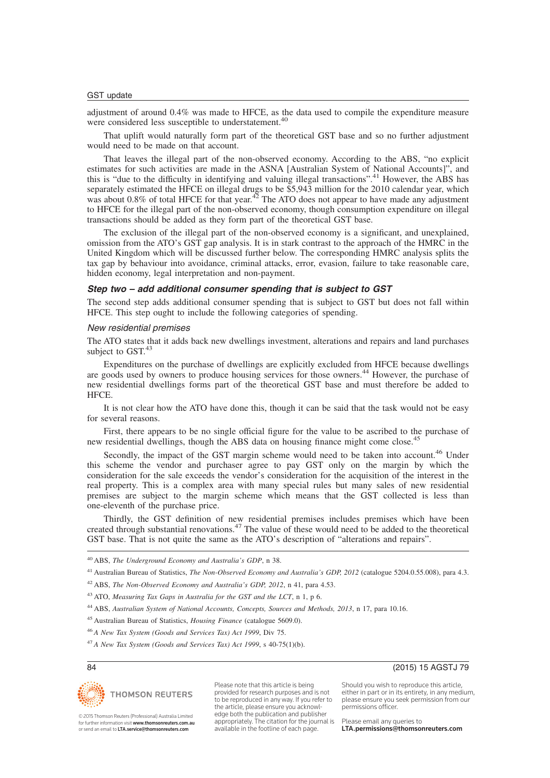adjustment of around 0.4% was made to HFCE, as the data used to compile the expenditure measure were considered less susceptible to understatement.<sup>40</sup>

That uplift would naturally form part of the theoretical GST base and so no further adjustment would need to be made on that account.

That leaves the illegal part of the non-observed economy. According to the ABS, "no explicit estimates for such activities are made in the ASNA [Australian System of National Accounts]", and this is "due to the difficulty in identifying and valuing illegal transactions".<sup>41</sup> However, the ABS has separately estimated the HFCE on illegal drugs to be \$5,943 million for the 2010 calendar year, which was about 0.8% of total HFCE for that year. $42^{\circ}$  The ATO does not appear to have made any adjustment to HFCE for the illegal part of the non-observed economy, though consumption expenditure on illegal transactions should be added as they form part of the theoretical GST base.

The exclusion of the illegal part of the non-observed economy is a significant, and unexplained, omission from the ATO's GST gap analysis. It is in stark contrast to the approach of the HMRC in the United Kingdom which will be discussed further below. The corresponding HMRC analysis splits the tax gap by behaviour into avoidance, criminal attacks, error, evasion, failure to take reasonable care, hidden economy, legal interpretation and non-payment.

### **Step two – add additional consumer spending that is subject to GST**

The second step adds additional consumer spending that is subject to GST but does not fall within HFCE. This step ought to include the following categories of spending.

#### New residential premises

The ATO states that it adds back new dwellings investment, alterations and repairs and land purchases subject to GST.<sup>43</sup>

Expenditures on the purchase of dwellings are explicitly excluded from HFCE because dwellings are goods used by owners to produce housing services for those owners.<sup>44</sup> However, the purchase of new residential dwellings forms part of the theoretical GST base and must therefore be added to HFCE.

It is not clear how the ATO have done this, though it can be said that the task would not be easy for several reasons.

First, there appears to be no single official figure for the value to be ascribed to the purchase of new residential dwellings, though the ABS data on housing finance might come close.<sup>4</sup>

Secondly, the impact of the GST margin scheme would need to be taken into account.<sup>46</sup> Under this scheme the vendor and purchaser agree to pay GST only on the margin by which the consideration for the sale exceeds the vendor's consideration for the acquisition of the interest in the real property. This is a complex area with many special rules but many sales of new residential premises are subject to the margin scheme which means that the GST collected is less than one-eleventh of the purchase price.

Thirdly, the GST definition of new residential premises includes premises which have been created through substantial renovations.<sup>47</sup> The value of these would need to be added to the theoretical GST base. That is not quite the same as the ATO's description of "alterations and repairs".

<sup>44</sup> ABS, *Australian System of National Accounts, Concepts, Sources and Methods, 2013*, n 17, para 10.16.

- <sup>45</sup> Australian Bureau of Statistics, *Housing Finance* (catalogue 5609.0).
- <sup>46</sup> *A New Tax System (Goods and Services Tax) Act 1999*, Div 75.
- <sup>47</sup> *A New Tax System (Goods and Services Tax) Act 1999*, s 40-75(1)(b).



Please note that this article is being provided for research purposes and is not to be reproduced in any way. If you refer to the article, please ensure you acknowledge both the publication and publisher appropriately. The citation for the journal is available in the footline of each page.

84 (2015) 15 AGSTJ 79

Should you wish to reproduce this article, either in part or in its entirety, in any medium, please ensure you seek permission from our permissions officer.

Please email any queries to LTA.permissions@thomsonreuters.com

© 2015 Thomson Reuters (Professional) Australia Limited for further information visit www.thomsonreuters.com.au or send an email to LTA.service@thomsonreuters.com

<sup>40</sup> ABS, *The Underground Economy and Australia's GDP*, n 38.

<sup>41</sup> Australian Bureau of Statistics, *The Non-Observed Economy and Australia's GDP, 2012* (catalogue 5204.0.55.008), para 4.3.

<sup>42</sup> ABS, *The Non-Observed Economy and Australia's GDP, 2012*, n 41, para 4.53.

<sup>43</sup> ATO, *Measuring Tax Gaps in Australia for the GST and the LCT*, n 1, p 6.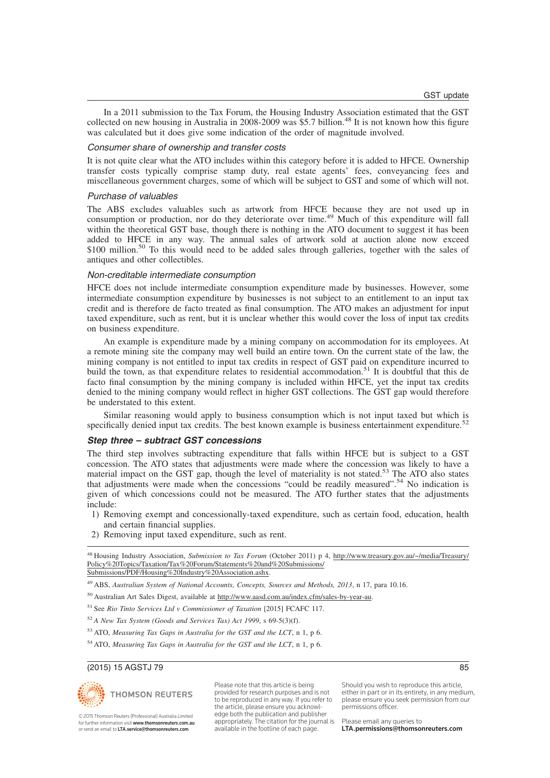In a 2011 submission to the Tax Forum, the Housing Industry Association estimated that the GST collected on new housing in Australia in 2008-2009 was \$5.7 billion.<sup>48</sup> It is not known how this figure was calculated but it does give some indication of the order of magnitude involved.

#### Consumer share of ownership and transfer costs

It is not quite clear what the ATO includes within this category before it is added to HFCE. Ownership transfer costs typically comprise stamp duty, real estate agents' fees, conveyancing fees and miscellaneous government charges, some of which will be subject to GST and some of which will not.

#### Purchase of valuables

The ABS excludes valuables such as artwork from HFCE because they are not used up in consumption or production, nor do they deteriorate over time.<sup>49</sup> Much of this expenditure will fall within the theoretical GST base, though there is nothing in the ATO document to suggest it has been added to HFCE in any way. The annual sales of artwork sold at auction alone now exceed \$100 million.<sup>50</sup> To this would need to be added sales through galleries, together with the sales of antiques and other collectibles.

#### Non-creditable intermediate consumption

HFCE does not include intermediate consumption expenditure made by businesses. However, some intermediate consumption expenditure by businesses is not subject to an entitlement to an input tax credit and is therefore de facto treated as final consumption. The ATO makes an adjustment for input taxed expenditure, such as rent, but it is unclear whether this would cover the loss of input tax credits on business expenditure.

An example is expenditure made by a mining company on accommodation for its employees. At a remote mining site the company may well build an entire town. On the current state of the law, the mining company is not entitled to input tax credits in respect of GST paid on expenditure incurred to build the town, as that expenditure relates to residential accommodation.<sup>51</sup> It is doubtful that this de facto final consumption by the mining company is included within HFCE, yet the input tax credits denied to the mining company would reflect in higher GST collections. The GST gap would therefore be understated to this extent.

Similar reasoning would apply to business consumption which is not input taxed but which is specifically denied input tax credits. The best known example is business entertainment expenditure.<sup>52</sup>

#### **Step three – subtract GST concessions**

The third step involves subtracting expenditure that falls within HFCE but is subject to a GST concession. The ATO states that adjustments were made where the concession was likely to have a material impact on the GST gap, though the level of materiality is not stated.<sup>53</sup> The ATO also states that adjustments were made when the concessions "could be readily measured".<sup>54</sup> No indication is given of which concessions could not be measured. The ATO further states that the adjustments include:

- 1) Removing exempt and concessionally-taxed expenditure, such as certain food, education, health and certain financial supplies.
- 2) Removing input taxed expenditure, such as rent.

<sup>48</sup> Housing Industry Association, *Submission to Tax Forum* (October 2011) p 4, http://www.treasury.gov.au/~/media/Treasury/ Policy%20Topics/Taxation/Tax%20Forum/Statements%20and%20Submissions/ Submissions/PDF/Housing%20Industry%20Association.ashx.

- <sup>50</sup> Australian Art Sales Digest, available at http://www.aasd.com.au/index.cfm/sales-by-year-au.
- <sup>51</sup> See *Rio Tinto Services Ltd v Commissioner of Taxation* [2015] FCAFC 117.
- <sup>52</sup> *A New Tax System (Goods and Services Tax) Act 1999*, s 69-5(3)(f).
- <sup>53</sup> ATO, *Measuring Tax Gaps in Australia for the GST and the LCT*, n 1, p 6.
- <sup>54</sup> ATO, *Measuring Tax Gaps in Australia for the GST and the LCT*, n 1, p 6.

#### (2015) 15 AGSTJ 79 85



© 2015 Thomson Reuters (Professional) Australia Limited for further information visit www.thomsonreuters.com.au or send an email to LTA.service@thomsonreuters.com

Please note that this article is being provided for research purposes and is not to be reproduced in any way. If you refer to the article, please ensure you acknowledge both the publication and publisher appropriately. The citation for the journal is available in the footline of each page.

Should you wish to reproduce this article, either in part or in its entirety, in any medium, please ensure you seek permission from our permissions officer.

<sup>49</sup> ABS, *Australian System of National Accounts, Concepts, Sources and Methods, 2013*, n 17, para 10.16.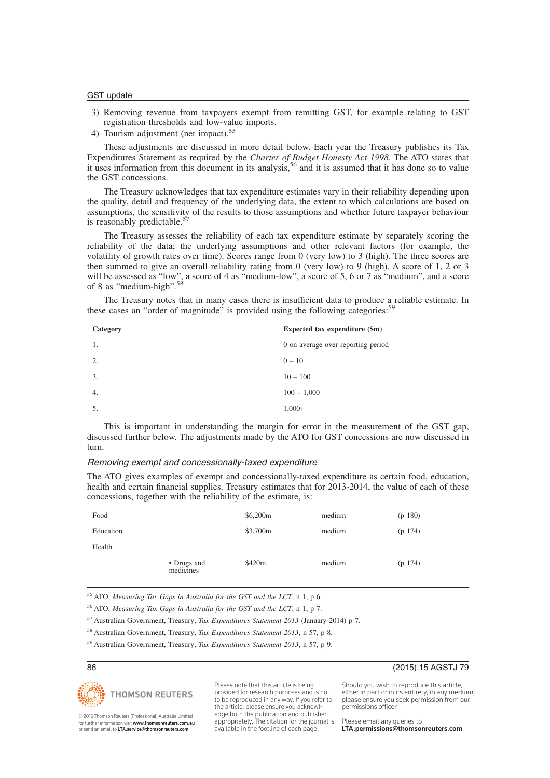- 3) Removing revenue from taxpayers exempt from remitting GST, for example relating to GST registration thresholds and low-value imports.
- 4) Tourism adjustment (net impact).<sup>55</sup>

These adjustments are discussed in more detail below. Each year the Treasury publishes its Tax Expenditures Statement as required by the *Charter of Budget Honesty Act 1998*. The ATO states that it uses information from this document in its analysis.<sup>56</sup> and it is assumed that it has done so to value the GST concessions.

The Treasury acknowledges that tax expenditure estimates vary in their reliability depending upon the quality, detail and frequency of the underlying data, the extent to which calculations are based on assumptions, the sensitivity of the results to those assumptions and whether future taxpayer behaviour is reasonably predictable.<sup>57</sup>

The Treasury assesses the reliability of each tax expenditure estimate by separately scoring the reliability of the data; the underlying assumptions and other relevant factors (for example, the volatility of growth rates over time). Scores range from 0 (very low) to 3 (high). The three scores are then summed to give an overall reliability rating from 0 (very low) to 9 (high). A score of 1, 2 or 3 will be assessed as "low", a score of 4 as "medium-low", a score of 5, 6 or 7 as "medium", and a score of 8 as "medium-high".<sup>58</sup>

The Treasury notes that in many cases there is insufficient data to produce a reliable estimate. In these cases an "order of magnitude" is provided using the following categories:<sup>5</sup>

| Category | Expected tax expenditure (\$m)     |
|----------|------------------------------------|
| 1.       | 0 on average over reporting period |
| 2.       | $0 - 10$                           |
| 3.       | $10 - 100$                         |
| 4.       | $100 - 1,000$                      |
| -5.      | $1,000+$                           |

This is important in understanding the margin for error in the measurement of the GST gap, discussed further below. The adjustments made by the ATO for GST concessions are now discussed in turn.

#### Removing exempt and concessionally-taxed expenditure

The ATO gives examples of exempt and concessionally-taxed expenditure as certain food, education, health and certain financial supplies. Treasury estimates that for 2013-2014, the value of each of these concessions, together with the reliability of the estimate, is:

| Food      |                          | \$6,200m | medium | (p 180) |
|-----------|--------------------------|----------|--------|---------|
| Education |                          | \$3,700m | medium | (p 174) |
| Health    |                          |          |        |         |
|           | • Drugs and<br>medicines | \$420m   | medium | (p 174) |

<sup>55</sup> ATO, *Measuring Tax Gaps in Australia for the GST and the LCT*, n 1, p 6.

<sup>56</sup> ATO, *Measuring Tax Gaps in Australia for the GST and the LCT*, n 1, p 7.

<sup>57</sup> Australian Government, Treasury, *Tax Expenditures Statement 2013* (January 2014) p 7.

<sup>58</sup> Australian Government, Treasury, *Tax Expenditures Statement 2013*, n 57, p 8.

<sup>59</sup> Australian Government, Treasury, *Tax Expenditures Statement 2013*, n 57, p 9.



Please note that this article is being provided for research purposes and is not to be reproduced in any way. If you refer to the article, please ensure you acknowledge both the publication and publisher appropriately. The citation for the journal is available in the footline of each page.

86 (2015) 15 AGSTJ 79

Should you wish to reproduce this article, either in part or in its entirety, in any medium, please ensure you seek permission from our permissions officer.

© 2015 Thomson Reuters (Professional) Australia Limited for further information visit **www.thomsonreuters.com.au**<br>or send an email to **LTA.service@thomsonreuters.com**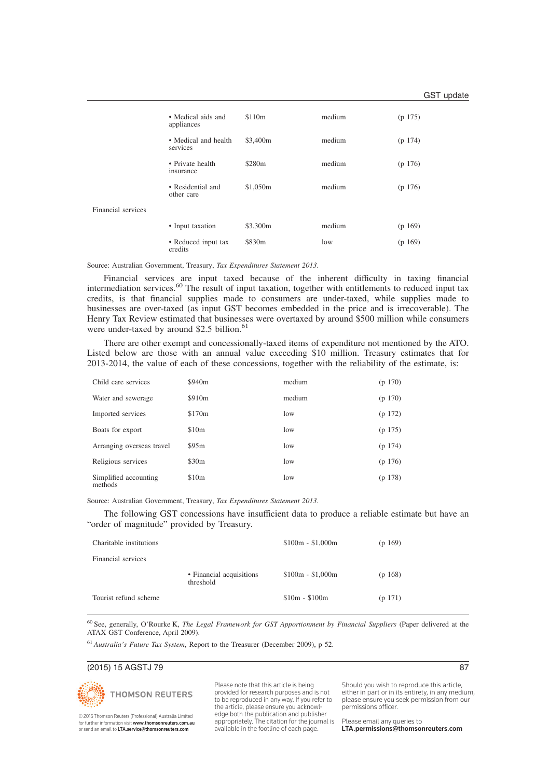|                    | • Medical aids and<br>appliances | \$110 <sub>m</sub> | medium | (p 175) |
|--------------------|----------------------------------|--------------------|--------|---------|
|                    | • Medical and health<br>services | \$3,400m           | medium | (p 174) |
|                    | • Private health<br>insurance    | \$280 <sub>m</sub> | medium | (p 176) |
|                    | • Residential and<br>other care  | \$1,050m           | medium | (p 176) |
| Financial services |                                  |                    |        |         |
|                    | • Input taxation                 | \$3,300m           | medium | (p 169) |
|                    | • Reduced input tax<br>credits   | \$830m             | low    | (p 169) |

Source: Australian Government, Treasury, *Tax Expenditures Statement 2013*.

Financial services are input taxed because of the inherent difficulty in taxing financial intermediation services.<sup>60</sup> The result of input taxation, together with entitlements to reduced input tax credits, is that financial supplies made to consumers are under-taxed, while supplies made to businesses are over-taxed (as input GST becomes embedded in the price and is irrecoverable). The Henry Tax Review estimated that businesses were overtaxed by around \$500 million while consumers were under-taxed by around \$2.5 billion. $61$ 

There are other exempt and concessionally-taxed items of expenditure not mentioned by the ATO. Listed below are those with an annual value exceeding \$10 million. Treasury estimates that for 2013-2014, the value of each of these concessions, together with the reliability of the estimate, is:

| Child care services              | \$940 <sub>m</sub> | medium | (p 170) |
|----------------------------------|--------------------|--------|---------|
| Water and sewerage               | \$910 <sub>m</sub> | medium | (p 170) |
| Imported services                | \$170 <sub>m</sub> | low    | (p 172) |
| Boats for export                 | \$10 <sub>m</sub>  | low    | (p 175) |
| Arranging overseas travel        | \$95m              | low    | (p 174) |
| Religious services               | \$30m              | low    | (p 176) |
| Simplified accounting<br>methods | \$10 <sub>m</sub>  | low    | (p 178) |

Source: Australian Government, Treasury, *Tax Expenditures Statement 2013*.

The following GST concessions have insufficient data to produce a reliable estimate but have an "order of magnitude" provided by Treasury.

| Charitable institutions |                                       | $$100m - $1,000m$ | (p 169) |
|-------------------------|---------------------------------------|-------------------|---------|
| Financial services      |                                       |                   |         |
|                         | • Financial acquisitions<br>threshold | $$100m - $1,000m$ | (p 168) |
| Tourist refund scheme   |                                       | $$10m - $100m$    | (p 171) |

<sup>60</sup> See, generally, O'Rourke K, *The Legal Framework for GST Apportionment by Financial Suppliers* (Paper delivered at the ATAX GST Conference, April 2009).

<sup>61</sup> *Australia's Future Tax System*, Report to the Treasurer (December 2009), p 52.

## (2015) 15 AGSTJ 79 87



© 2015 Thomson Reuters (Professional) Australia Limited for further information visit **www.thomsonreuters.com.au**<br>or send an email to **LTA.service@thomsonreuters.com**  Please note that this article is being provided for research purposes and is not to be reproduced in any way. If you refer to the article, please ensure you acknowledge both the publication and publisher appropriately. The citation for the journal is available in the footline of each page.

Should you wish to reproduce this article, either in part or in its entirety, in any medium, please ensure you seek permission from our permissions officer.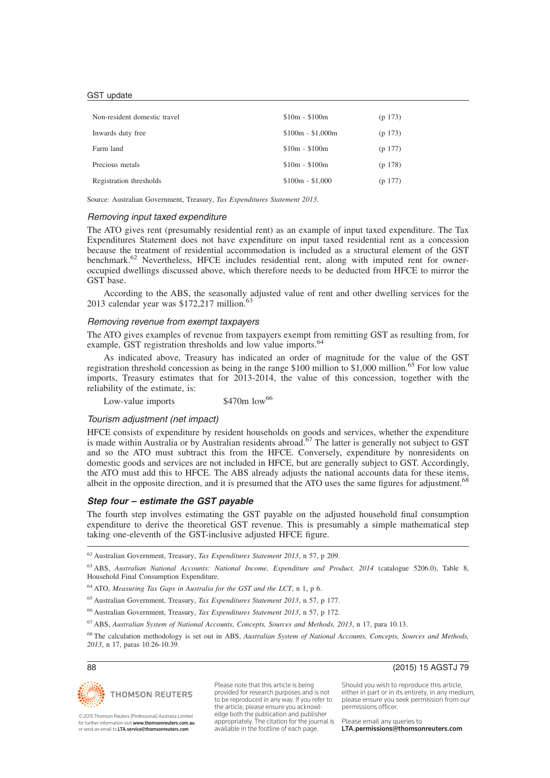| Non-resident domestic travel | $$10m - $100m$    | (p 173) |
|------------------------------|-------------------|---------|
| Inwards duty free            | $$100m - $1,000m$ | (p 173) |
| Farm land                    | $$10m - $100m$    | (p 177) |
| Precious metals              | $$10m - $100m$    | (p 178) |
| Registration thresholds      | $$100m - $1,000$  | (p 177) |

Source: Australian Government, Treasury, *Tax Expenditures Statement 2013*.

### Removing input taxed expenditure

The ATO gives rent (presumably residential rent) as an example of input taxed expenditure. The Tax Expenditures Statement does not have expenditure on input taxed residential rent as a concession because the treatment of residential accommodation is included as a structural element of the GST benchmark.<sup>62</sup> Nevertheless, HFCE includes residential rent, along with imputed rent for owneroccupied dwellings discussed above, which therefore needs to be deducted from HFCE to mirror the GST base.

According to the ABS, the seasonally adjusted value of rent and other dwelling services for the 2013 calendar year was  $$172,217$  million.<sup>63</sup>

## Removing revenue from exempt taxpayers

The ATO gives examples of revenue from taxpayers exempt from remitting GST as resulting from, for example, GST registration thresholds and low value imports.<sup>64</sup>

As indicated above, Treasury has indicated an order of magnitude for the value of the GST registration threshold concession as being in the range \$100 million to \$1,000 million.<sup>65</sup> For low value imports, Treasury estimates that for 2013-2014, the value of this concession, together with the reliability of the estimate, is:

Low-value imports  $$470m$  low<sup>66</sup>

### Tourism adjustment (net impact)

HFCE consists of expenditure by resident households on goods and services, whether the expenditure is made within Australia or by Australian residents abroad.<sup>67</sup> The latter is generally not subject to GST and so the ATO must subtract this from the HFCE. Conversely, expenditure by nonresidents on domestic goods and services are not included in HFCE, but are generally subject to GST. Accordingly, the ATO must add this to HFCE. The ABS already adjusts the national accounts data for these items, albeit in the opposite direction, and it is presumed that the ATO uses the same figures for adjustment.<sup>68</sup>

### **Step four – estimate the GST payable**

The fourth step involves estimating the GST payable on the adjusted household final consumption expenditure to derive the theoretical GST revenue. This is presumably a simple mathematical step taking one-eleventh of the GST-inclusive adjusted HFCE figure.

<sup>62</sup> Australian Government, Treasury, *Tax Expenditures Statement 2013*, n 57, p 209.

<sup>65</sup> Australian Government, Treasury, *Tax Expenditures Statement 2013*, n 57, p 177.

<sup>66</sup> Australian Government, Treasury, *Tax Expenditures Statement 2013*, n 57, p 172.

<sup>67</sup> ABS, *Australian System of National Accounts, Concepts, Sources and Methods, 2013*, n 17, para 10.13.

<sup>68</sup> The calculation methodology is set out in ABS, *Australian System of National Accounts, Concepts, Sources and Methods, 2013*, n 17, paras 10.26-10.39.



© 2015 Thomson Reuters (Professional) Australia Limited for further information visit www.thomsonreuters.com.au or send an email to LTA.service@thomsonreuters.com

Please note that this article is being provided for research purposes and is not to be reproduced in any way. If you refer to the article, please ensure you acknowledge both the publication and publisher appropriately. The citation for the journal is available in the footline of each page.

88 (2015) 15 AGSTJ 79

Should you wish to reproduce this article, either in part or in its entirety, in any medium, please ensure you seek permission from our permissions officer.

<sup>63</sup> ABS, *Australian National Accounts: National Income, Expenditure and Product, 2014* (catalogue 5206.0), Table 8, Household Final Consumption Expenditure.

<sup>64</sup> ATO, *Measuring Tax Gaps in Australia for the GST and the LCT*, n 1, p 6.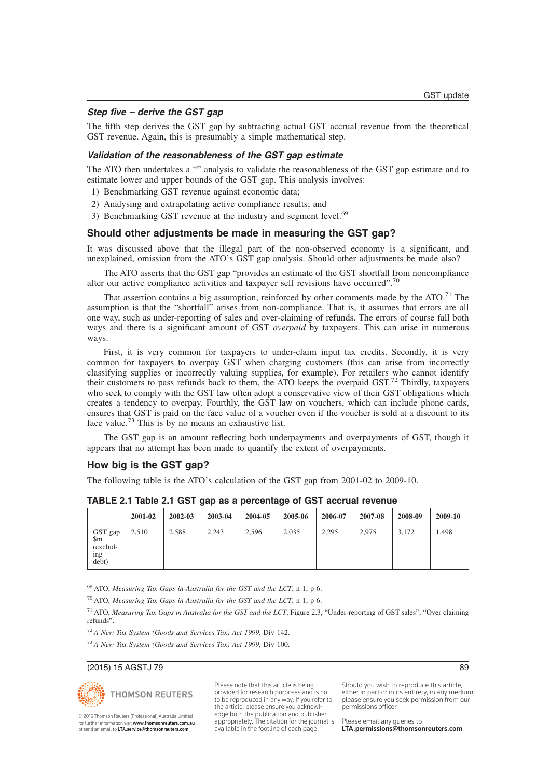## **Step five – derive the GST gap**

The fifth step derives the GST gap by subtracting actual GST accrual revenue from the theoretical GST revenue. Again, this is presumably a simple mathematical step.

## **Validation of the reasonableness of the GST gap estimate**

The ATO then undertakes a "" analysis to validate the reasonableness of the GST gap estimate and to estimate lower and upper bounds of the GST gap. This analysis involves:

- 1) Benchmarking GST revenue against economic data;
- 2) Analysing and extrapolating active compliance results; and
- 3) Benchmarking GST revenue at the industry and segment level.<sup>69</sup>

### **Should other adjustments be made in measuring the GST gap?**

It was discussed above that the illegal part of the non-observed economy is a significant, and unexplained, omission from the ATO's GST gap analysis. Should other adjustments be made also?

The ATO asserts that the GST gap "provides an estimate of the GST shortfall from noncompliance after our active compliance activities and taxpayer self revisions have occurred".<sup>70</sup>

That assertion contains a big assumption, reinforced by other comments made by the ATO.<sup>71</sup> The assumption is that the "shortfall" arises from non-compliance. That is, it assumes that errors are all one way, such as under-reporting of sales and over-claiming of refunds. The errors of course fall both ways and there is a significant amount of GST *overpaid* by taxpayers. This can arise in numerous ways.

First, it is very common for taxpayers to under-claim input tax credits. Secondly, it is very common for taxpayers to overpay GST when charging customers (this can arise from incorrectly classifying supplies or incorrectly valuing supplies, for example). For retailers who cannot identify their customers to pass refunds back to them, the ATO keeps the overpaid  $GST<sup>72</sup>$  Thirdly, taxpayers who seek to comply with the GST law often adopt a conservative view of their GST obligations which creates a tendency to overpay. Fourthly, the GST law on vouchers, which can include phone cards, ensures that GST is paid on the face value of a voucher even if the voucher is sold at a discount to its face value.<sup>73</sup> This is by no means an exhaustive list.

The GST gap is an amount reflecting both underpayments and overpayments of GST, though it appears that no attempt has been made to quantify the extent of overpayments.

## **How big is the GST gap?**

The following table is the ATO's calculation of the GST gap from 2001-02 to 2009-10.

|                                            | 2001-02 | $2002 - 03$ | 2003-04 | 2004-05 | 2005-06 | 2006-07 | 2007-08 | 2008-09 | 2009-10 |
|--------------------------------------------|---------|-------------|---------|---------|---------|---------|---------|---------|---------|
| GST gap<br>\$m<br>(exclud-<br>ing<br>debt) | 2,510   | 2,588       | 2,243   | 2,596   | 2,035   | 2,295   | 2,975   | 3.172   | 1.498   |

#### **TABLE 2.1 Table 2.1 GST gap as a percentage of GST accrual revenue**

<sup>69</sup> ATO, *Measuring Tax Gaps in Australia for the GST and the LCT*, n 1, p 6.

<sup>70</sup> ATO, *Measuring Tax Gaps in Australia for the GST and the LCT*, n 1, p 6.

<sup>71</sup> ATO, *Measuring Tax Gaps in Australia for the GST and the LCT*, Figure 2.3, "Under-reporting of GST sales"; "Over claiming refunds".

<sup>72</sup> *A New Tax System (Goods and Services Tax) Act 1999*, Div 142.

<sup>73</sup> *A New Tax System (Goods and Services Tax) Act 1999*, Div 100.

### (2015) 15 AGSTJ 79 89





© 2015 Thomson Reuters (Professional) Australia Limited for further information visit www.thomsonreuters.com.au or send an email to LTA.service@thomsonreuters.com

Please note that this article is being provided for research purposes and is not to be reproduced in any way. If you refer to the article, please ensure you acknowledge both the publication and publisher appropriately. The citation for the journal is available in the footline of each page.

Should you wish to reproduce this article, either in part or in its entirety, in any medium, please ensure you seek permission from our permissions officer.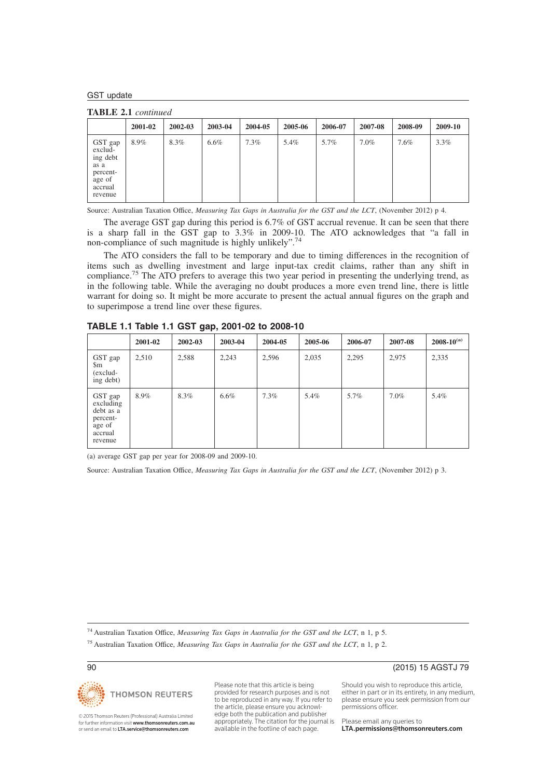**TABLE 2.1** *continued*

|                                                                                    | 2001-02 | 2002-03 | 2003-04 | 2004-05 | 2005-06 | 2006-07 | 2007-08 | 2008-09 | 2009-10 |
|------------------------------------------------------------------------------------|---------|---------|---------|---------|---------|---------|---------|---------|---------|
| GST gap<br>exclud-<br>ing debt<br>as a<br>percent-<br>age of<br>accrual<br>revenue | 8.9%    | 8.3%    | $6.6\%$ | 7.3%    | 5.4%    | 5.7%    | $7.0\%$ | 7.6%    | 3.3%    |

Source: Australian Taxation Office, *Measuring Tax Gaps in Australia for the GST and the LCT*, (November 2012) p 4.

The average GST gap during this period is 6.7% of GST accrual revenue. It can be seen that there is a sharp fall in the GST gap to 3.3% in 2009-10. The ATO acknowledges that "a fall in non-compliance of such magnitude is highly unlikely".<sup>74</sup>

The ATO considers the fall to be temporary and due to timing differences in the recognition of items such as dwelling investment and large input-tax credit claims, rather than any shift in compliance.<sup>75</sup> The ATO prefers to average this two year period in presenting the underlying trend, as in the following table. While the averaging no doubt produces a more even trend line, there is little warrant for doing so. It might be more accurate to present the actual annual figures on the graph and to superimpose a trend line over these figures.

|                                                                               | 2001-02 | 2002-03 | 2003-04 | 2004-05 | 2005-06 | 2006-07 | 2007-08 | $2008 - 10^{(a)}$ |  |  |  |
|-------------------------------------------------------------------------------|---------|---------|---------|---------|---------|---------|---------|-------------------|--|--|--|
| GST gap<br>$\rm{Sm}$<br>(exclud-<br>ing debt)                                 | 2,510   | 2,588   | 2,243   | 2,596   | 2,035   | 2,295   | 2,975   | 2,335             |  |  |  |
| GST gap<br>excluding<br>debt as a<br>percent-<br>age of<br>accrual<br>revenue | 8.9%    | 8.3%    | $6.6\%$ | $7.3\%$ | 5.4%    | 5.7%    | $7.0\%$ | 5.4%              |  |  |  |

**TABLE 1.1 Table 1.1 GST gap, 2001-02 to 2008-10**

(a) average GST gap per year for 2008-09 and 2009-10.

Source: Australian Taxation Office, *Measuring Tax Gaps in Australia for the GST and the LCT*, (November 2012) p 3.

<sup>74</sup> Australian Taxation Office, *Measuring Tax Gaps in Australia for the GST and the LCT*, n 1, p 5.

<sup>75</sup> Australian Taxation Office, *Measuring Tax Gaps in Australia for the GST and the LCT*, n 1, p 2.



© 2015 Thomson Reuters (Professional) Australia Limited for further information visit **www.thomsonreuters.com.au**<br>or send an email to **LTA.service@thomsonreuters.com**  Please note that this article is being provided for research purposes and is not to be reproduced in any way. If you refer to the article, please ensure you acknowledge both the publication and publisher appropriately. The citation for the journal is available in the footline of each page.

90 (2015) 15 AGSTJ 79

Should you wish to reproduce this article, either in part or in its entirety, in any medium, please ensure you seek permission from our permissions officer.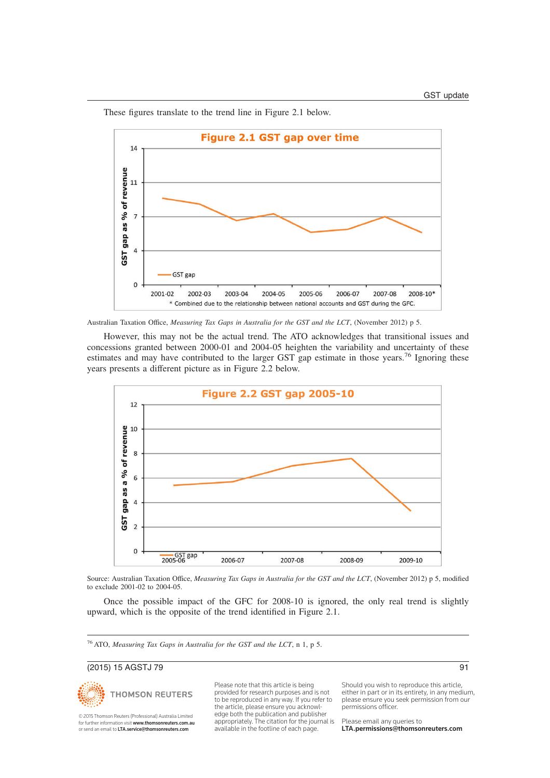These figures translate to the trend line in Figure 2.1 below.



Australian Taxation Office, *Measuring Tax Gaps in Australia for the GST and the LCT*, (November 2012) p 5.

However, this may not be the actual trend. The ATO acknowledges that transitional issues and concessions granted between 2000-01 and 2004-05 heighten the variability and uncertainty of these estimates and may have contributed to the larger GST gap estimate in those years.<sup>76</sup> Ignoring these years presents a different picture as in Figure 2.2 below.



Source: Australian Taxation Office, *Measuring Tax Gaps in Australia for the GST and the LCT*, (November 2012) p 5, modified to exclude 2001-02 to 2004-05.

Once the possible impact of the GFC for 2008-10 is ignored, the only real trend is slightly upward, which is the opposite of the trend identified in Figure 2.1.

<sup>76</sup> ATO, *Measuring Tax Gaps in Australia for the GST and the LCT*, n 1, p 5.

## (2015) 15 AGSTJ 79 91



© 2015 Thomson Reuters (Professional) Australia Limited for further information visit **www.thomsonreuters.com.au**<br>or send an email to **LTA.service@thomsonreuters.com**  Please note that this article is being provided for research purposes and is not to be reproduced in any way. If you refer to the article, please ensure you acknowledge both the publication and publisher appropriately. The citation for the journal is available in the footline of each page.

Should you wish to reproduce this article, either in part or in its entirety, in any medium, please ensure you seek permission from our permissions officer.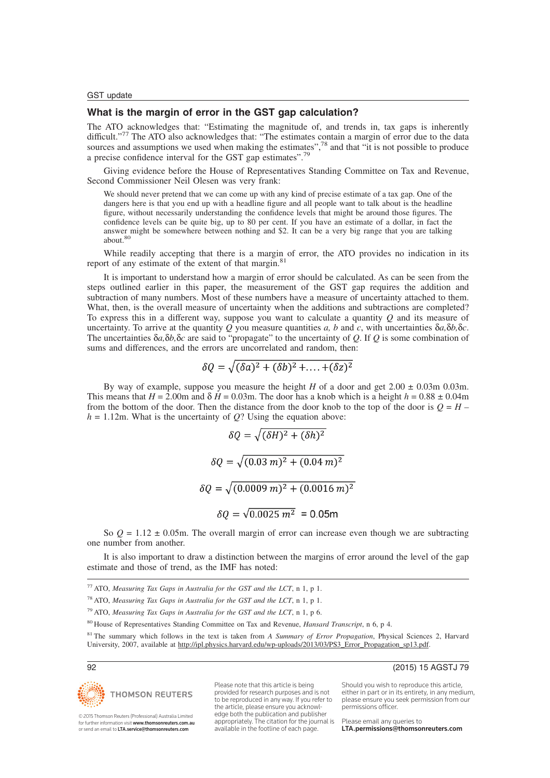## **What is the margin of error in the GST gap calculation?**

The ATO acknowledges that: "Estimating the magnitude of, and trends in, tax gaps is inherently difficult."<sup>77</sup> The ATO also acknowledges that: "The estimates contain a margin of error due to the data sources and assumptions we used when making the estimates",<sup>78</sup> and that "it is not possible to produce a precise confidence interval for the GST gap estimates".<sup>79</sup>

Giving evidence before the House of Representatives Standing Committee on Tax and Revenue, Second Commissioner Neil Olesen was very frank:

We should never pretend that we can come up with any kind of precise estimate of a tax gap. One of the dangers here is that you end up with a headline figure and all people want to talk about is the headline figure, without necessarily understanding the confidence levels that might be around those figures. The confidence levels can be quite big, up to 80 per cent. If you have an estimate of a dollar, in fact the answer might be somewhere between nothing and \$2. It can be a very big range that you are talking about.<sup>80</sup>

While readily accepting that there is a margin of error, the ATO provides no indication in its report of any estimate of the extent of that margin.<sup>81</sup>

It is important to understand how a margin of error should be calculated. As can be seen from the steps outlined earlier in this paper, the measurement of the GST gap requires the addition and subtraction of many numbers. Most of these numbers have a measure of uncertainty attached to them. What, then, is the overall measure of uncertainty when the additions and subtractions are completed? To express this in a different way, suppose you want to calculate a quantity *Q* and its measure of uncertainty. To arrive at the quantity  $Q$  you measure quantities  $a$ ,  $b$  and  $c$ , with uncertainties  $\delta a$ ,  $\delta b$ ,  $\delta c$ . The uncertainties δ*a,*δ*b,*δ*c* are said to "propagate" to the uncertainty of *Q*. If *Q* is some combination of sums and differences, and the errors are uncorrelated and random, then:

$$
\delta Q = \sqrt{(\delta a)^2 + (\delta b)^2 + \dots + (\delta z)^2}
$$

By way of example, suppose you measure the height *H* of a door and get  $2.00 \pm 0.03$ m 0.03m. This means that  $H = 2.00$ m and  $\delta H = 0.03$ m. The door has a knob which is a height  $h = 0.88 \pm 0.04$ m from the bottom of the door. Then the distance from the door knob to the top of the door is  $Q = H$  $h = 1.12$ m. What is the uncertainty of *Q*? Using the equation above:

$$
\delta Q = \sqrt{(\delta H)^2 + (\delta h)^2}
$$

$$
\delta Q = \sqrt{(0.03 \, m)^2 + (0.04 \, m)^2}
$$

$$
\delta Q = \sqrt{(0.0009 \, m)^2 + (0.0016 \, m)^2}
$$

$$
\delta Q = \sqrt{0.0025 \, m^2} = 0.05 \, \text{m}
$$

So  $Q = 1.12 \pm 0.05$ m. The overall margin of error can increase even though we are subtracting one number from another.

It is also important to draw a distinction between the margins of error around the level of the gap estimate and those of trend, as the IMF has noted:

| <sup>77</sup> ATO, Measuring Tax Gaps in Australia for the GST and the LCT, n 1, p 1. |  |  |  |  |  |  |  |  |  |  |  |  |  |  |  |
|---------------------------------------------------------------------------------------|--|--|--|--|--|--|--|--|--|--|--|--|--|--|--|
|---------------------------------------------------------------------------------------|--|--|--|--|--|--|--|--|--|--|--|--|--|--|--|

<sup>78</sup> ATO, *Measuring Tax Gaps in Australia for the GST and the LCT*, n 1, p 1.

<sup>79</sup> ATO, *Measuring Tax Gaps in Australia for the GST and the LCT*, n 1, p 6.

<sup>80</sup> House of Representatives Standing Committee on Tax and Revenue, *Hansard Transcript*, n 6, p 4.

<sup>81</sup> The summary which follows in the text is taken from *A Summary of Error Propagation*, Physical Sciences 2, Harvard University, 2007, available at http://ipl.physics.harvard.edu/wp-uploads/2013/03/PS3\_Error\_Propagation\_sp13.pdf.

## 92 (2015) 15 AGSTJ 79



© 2015 Thomson Reuters (Professional) Australia Limited for further information visit www.thomsonreuters.com.au or send an email to LTA.service@thomsonreuters.com

Please note that this article is being provided for research purposes and is not to be reproduced in any way. If you refer to the article, please ensure you acknowledge both the publication and publisher appropriately. The citation for the journal is available in the footline of each page.

Should you wish to reproduce this article,

either in part or in its entirety, in any medium, please ensure you seek permission from our permissions officer.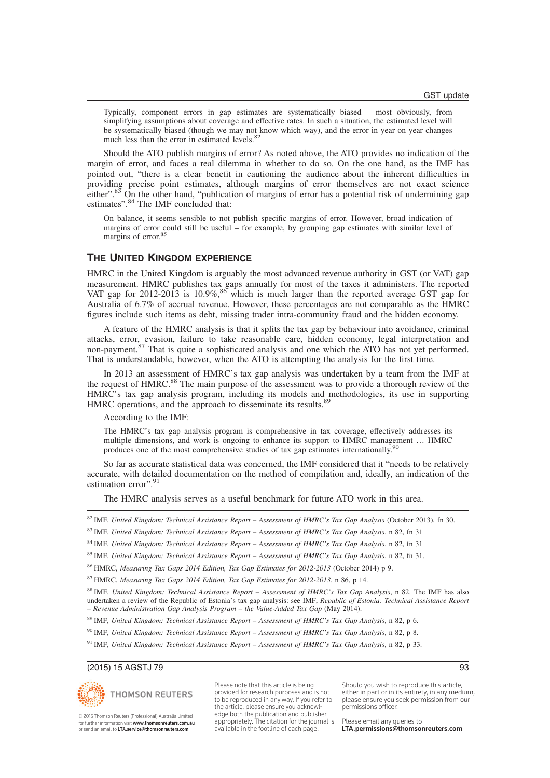Typically, component errors in gap estimates are systematically biased – most obviously, from simplifying assumptions about coverage and effective rates. In such a situation, the estimated level will be systematically biased (though we may not know which way), and the error in year on year changes much less than the error in estimated levels.<sup>82</sup>

Should the ATO publish margins of error? As noted above, the ATO provides no indication of the margin of error, and faces a real dilemma in whether to do so. On the one hand, as the IMF has pointed out, "there is a clear benefit in cautioning the audience about the inherent difficulties in providing precise point estimates, although margins of error themselves are not exact science either".<sup>83</sup> On the other hand, "publication of margins of error has a potential risk of undermining gap estimates".<sup>84</sup> The IMF concluded that:

On balance, it seems sensible to not publish specific margins of error. However, broad indication of margins of error could still be useful – for example, by grouping gap estimates with similar level of margins of error.<sup>85</sup>

## **THE UNITED KINGDOM EXPERIENCE**

HMRC in the United Kingdom is arguably the most advanced revenue authority in GST (or VAT) gap measurement. HMRC publishes tax gaps annually for most of the taxes it administers. The reported VAT gap for 2012-2013 is 10.9%, $86$  which is much larger than the reported average GST gap for Australia of 6.7% of accrual revenue. However, these percentages are not comparable as the HMRC figures include such items as debt, missing trader intra-community fraud and the hidden economy.

A feature of the HMRC analysis is that it splits the tax gap by behaviour into avoidance, criminal attacks, error, evasion, failure to take reasonable care, hidden economy, legal interpretation and non-payment.<sup>87</sup> That is quite a sophisticated analysis and one which the ATO has not yet performed. That is understandable, however, when the ATO is attempting the analysis for the first time.

In 2013 an assessment of HMRC's tax gap analysis was undertaken by a team from the IMF at the request of HMRC.<sup>88</sup> The main purpose of the assessment was to provide a thorough review of the HMRC's tax gap analysis program, including its models and methodologies, its use in supporting HMRC operations, and the approach to disseminate its results.<sup>89</sup>

According to the IMF:

The HMRC's tax gap analysis program is comprehensive in tax coverage, effectively addresses its multiple dimensions, and work is ongoing to enhance its support to HMRC management … HMRC produces one of the most comprehensive studies of tax gap estimates internationally.<sup>90</sup>

So far as accurate statistical data was concerned, the IMF considered that it "needs to be relatively accurate, with detailed documentation on the method of compilation and, ideally, an indication of the estimation error".<sup>91</sup>

The HMRC analysis serves as a useful benchmark for future ATO work in this area.

|  | $^{82}$ IMF, United Kingdom: Technical Assistance Report – Assessment of HMRC's Tax Gap Analysis (October 2013), fn 30. |  |  |  |  |
|--|-------------------------------------------------------------------------------------------------------------------------|--|--|--|--|
|  |                                                                                                                         |  |  |  |  |

<sup>83</sup> IMF, *United Kingdom: Technical Assistance Report – Assessment of HMRC's Tax Gap Analysis*, n 82, fn 31

<sup>84</sup> IMF, *United Kingdom: Technical Assistance Report – Assessment of HMRC's Tax Gap Analysis*, n 82, fn 31

<sup>85</sup> IMF, *United Kingdom: Technical Assistance Report – Assessment of HMRC's Tax Gap Analysis*, n 82, fn 31.

<sup>86</sup> HMRC, *Measuring Tax Gaps 2014 Edition, Tax Gap Estimates for 2012-2013* (October 2014) p 9.

<sup>87</sup> HMRC, *Measuring Tax Gaps 2014 Edition, Tax Gap Estimates for 2012-2013*, n 86, p 14.

<sup>88</sup> IMF, *United Kingdom: Technical Assistance Report – Assessment of HMRC's Tax Gap Analysis*, n 82. The IMF has also undertaken a review of the Republic of Estonia's tax gap analysis: see IMF, *Republic of Estonia: Technical Assistance Report – Revenue Administration Gap Analysis Program – the Value-Added Tax Gap* (May 2014).

<sup>89</sup> IMF, *United Kingdom: Technical Assistance Report – Assessment of HMRC's Tax Gap Analysis*, n 82, p 6.

<sup>90</sup> IMF, *United Kingdom: Technical Assistance Report – Assessment of HMRC's Tax Gap Analysis*, n 82, p 8.

<sup>91</sup> IMF, *United Kingdom: Technical Assistance Report – Assessment of HMRC's Tax Gap Analysis*, n 82, p 33.

### (2015) 15 AGSTJ 79 93



© 2015 Thomson Reuters (Professional) Australia Limited for further information visit www.thomsonreuters.com.au or send an email to LTA.service@thomsonreuters.com

Please note that this article is being provided for research purposes and is not to be reproduced in any way. If you refer to the article, please ensure you acknowledge both the publication and publisher appropriately. The citation for the journal is available in the footline of each page.

Should you wish to reproduce this article, either in part or in its entirety, in any medium, please ensure you seek permission from our permissions officer.